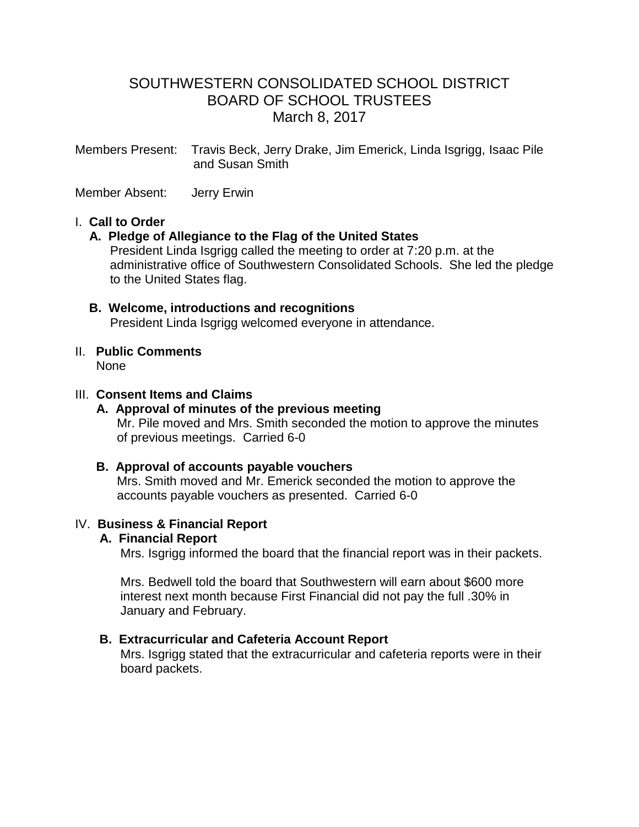# SOUTHWESTERN CONSOLIDATED SCHOOL DISTRICT BOARD OF SCHOOL TRUSTEES March 8, 2017

Members Present: Travis Beck, Jerry Drake, Jim Emerick, Linda Isgrigg, Isaac Pile and Susan Smith

Member Absent: Jerry Erwin

#### I. **Call to Order**

#### **A. Pledge of Allegiance to the Flag of the United States**

 President Linda Isgrigg called the meeting to order at 7:20 p.m. at the administrative office of Southwestern Consolidated Schools. She led the pledge to the United States flag.

#### **B. Welcome, introductions and recognitions** President Linda Isgrigg welcomed everyone in attendance.

## II. **Public Comments**

None

#### III. **Consent Items and Claims**

# **A. Approval of minutes of the previous meeting**

Mr. Pile moved and Mrs. Smith seconded the motion to approve the minutes of previous meetings. Carried 6-0

#### **B. Approval of accounts payable vouchers**

Mrs. Smith moved and Mr. Emerick seconded the motion to approve the accounts payable vouchers as presented. Carried 6-0

#### IV. **Business & Financial Report**

#### **A. Financial Report**

Mrs. Isgrigg informed the board that the financial report was in their packets.

 Mrs. Bedwell told the board that Southwestern will earn about \$600 more interest next month because First Financial did not pay the full .30% in January and February.

### **B. Extracurricular and Cafeteria Account Report**

 Mrs. Isgrigg stated that the extracurricular and cafeteria reports were in their board packets.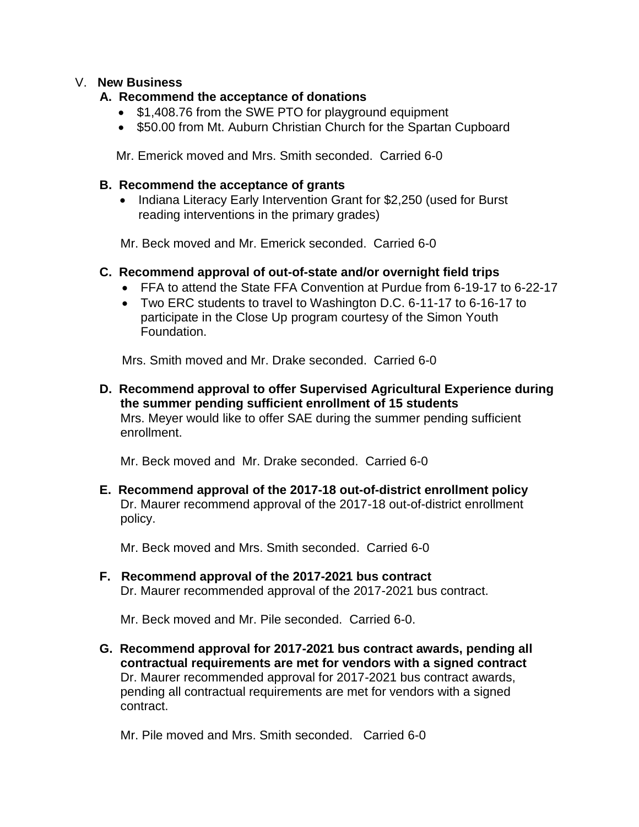#### V. **New Business**

#### **A. Recommend the acceptance of donations**

- \$1,408.76 from the SWE PTO for playground equipment
- \$50.00 from Mt. Auburn Christian Church for the Spartan Cupboard

Mr. Emerick moved and Mrs. Smith seconded. Carried 6-0

#### **B. Recommend the acceptance of grants**

• Indiana Literacy Early Intervention Grant for \$2,250 (used for Burst reading interventions in the primary grades)

Mr. Beck moved and Mr. Emerick seconded. Carried 6-0

### **C. Recommend approval of out-of-state and/or overnight field trips**

- FFA to attend the State FFA Convention at Purdue from 6-19-17 to 6-22-17
- Two ERC students to travel to Washington D.C. 6-11-17 to 6-16-17 to participate in the Close Up program courtesy of the Simon Youth Foundation.

Mrs. Smith moved and Mr. Drake seconded. Carried 6-0

 **D. Recommend approval to offer Supervised Agricultural Experience during the summer pending sufficient enrollment of 15 students** Mrs. Meyer would like to offer SAE during the summer pending sufficient enrollment.

Mr. Beck moved and Mr. Drake seconded. Carried 6-0

 **E. Recommend approval of the 2017-18 out-of-district enrollment policy** Dr. Maurer recommend approval of the 2017-18 out-of-district enrollment policy.

Mr. Beck moved and Mrs. Smith seconded. Carried 6-0

 **F. Recommend approval of the 2017-2021 bus contract** Dr. Maurer recommended approval of the 2017-2021 bus contract.

Mr. Beck moved and Mr. Pile seconded. Carried 6-0.

 **G. Recommend approval for 2017-2021 bus contract awards, pending all contractual requirements are met for vendors with a signed contract** Dr. Maurer recommended approval for 2017-2021 bus contract awards, pending all contractual requirements are met for vendors with a signed contract.

Mr. Pile moved and Mrs. Smith seconded. Carried 6-0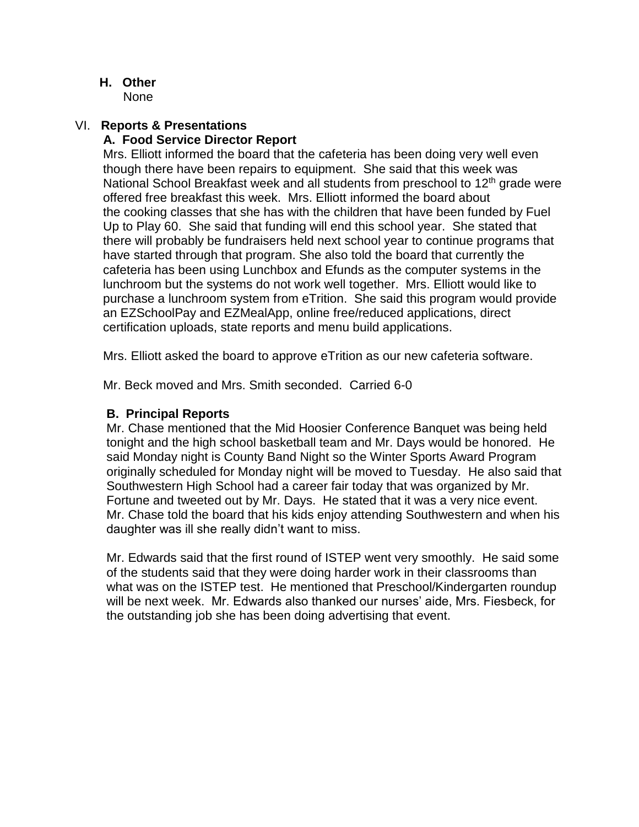**H. Other**

None

#### VI. **Reports & Presentations A. Food Service Director Report**

Mrs. Elliott informed the board that the cafeteria has been doing very well even though there have been repairs to equipment. She said that this week was National School Breakfast week and all students from preschool to 12<sup>th</sup> grade were offered free breakfast this week. Mrs. Elliott informed the board about the cooking classes that she has with the children that have been funded by Fuel Up to Play 60. She said that funding will end this school year. She stated that there will probably be fundraisers held next school year to continue programs that have started through that program. She also told the board that currently the cafeteria has been using Lunchbox and Efunds as the computer systems in the lunchroom but the systems do not work well together. Mrs. Elliott would like to purchase a lunchroom system from eTrition. She said this program would provide an EZSchoolPay and EZMealApp, online free/reduced applications, direct certification uploads, state reports and menu build applications.

Mrs. Elliott asked the board to approve eTrition as our new cafeteria software.

Mr. Beck moved and Mrs. Smith seconded. Carried 6-0

### **B. Principal Reports**

Mr. Chase mentioned that the Mid Hoosier Conference Banquet was being held tonight and the high school basketball team and Mr. Days would be honored. He said Monday night is County Band Night so the Winter Sports Award Program originally scheduled for Monday night will be moved to Tuesday. He also said that Southwestern High School had a career fair today that was organized by Mr. Fortune and tweeted out by Mr. Days. He stated that it was a very nice event. Mr. Chase told the board that his kids enjoy attending Southwestern and when his daughter was ill she really didn't want to miss.

 Mr. Edwards said that the first round of ISTEP went very smoothly. He said some of the students said that they were doing harder work in their classrooms than what was on the ISTEP test. He mentioned that Preschool/Kindergarten roundup will be next week. Mr. Edwards also thanked our nurses' aide, Mrs. Fiesbeck, for the outstanding job she has been doing advertising that event.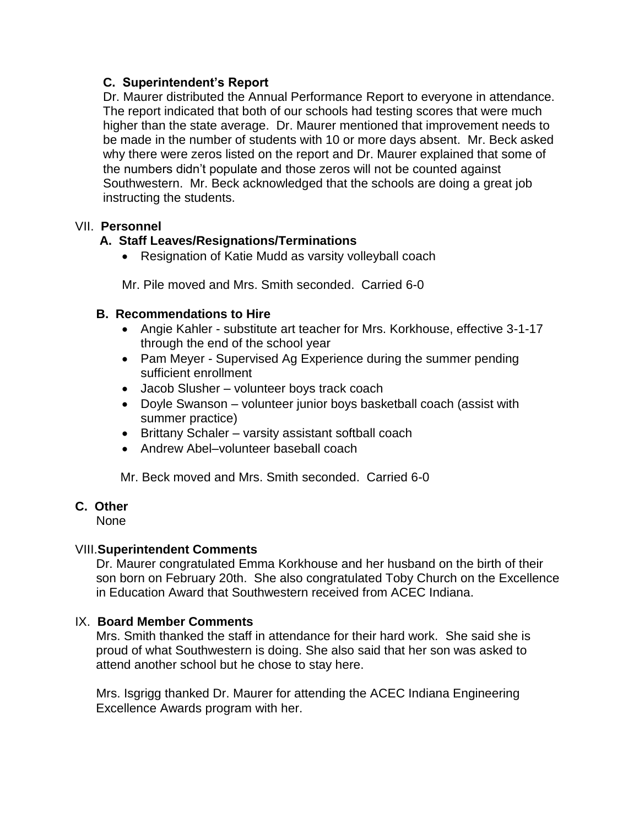### **C. Superintendent's Report**

Dr. Maurer distributed the Annual Performance Report to everyone in attendance. The report indicated that both of our schools had testing scores that were much higher than the state average. Dr. Maurer mentioned that improvement needs to be made in the number of students with 10 or more days absent. Mr. Beck asked why there were zeros listed on the report and Dr. Maurer explained that some of the numbers didn't populate and those zeros will not be counted against Southwestern. Mr. Beck acknowledged that the schools are doing a great job instructing the students.

### VII. **Personnel**

## **A. Staff Leaves/Resignations/Terminations**

Resignation of Katie Mudd as varsity volleyball coach

Mr. Pile moved and Mrs. Smith seconded. Carried 6-0

### **B. Recommendations to Hire**

- Angie Kahler substitute art teacher for Mrs. Korkhouse, effective 3-1-17 through the end of the school year
- Pam Meyer Supervised Ag Experience during the summer pending sufficient enrollment
- Jacob Slusher volunteer boys track coach
- Doyle Swanson volunteer junior boys basketball coach (assist with summer practice)
- Brittany Schaler varsity assistant softball coach
- Andrew Abel–volunteer baseball coach

Mr. Beck moved and Mrs. Smith seconded. Carried 6-0

## **C. Other**

None

## VIII.**Superintendent Comments**

Dr. Maurer congratulated Emma Korkhouse and her husband on the birth of their son born on February 20th. She also congratulated Toby Church on the Excellence in Education Award that Southwestern received from ACEC Indiana.

#### IX. **Board Member Comments**

 Mrs. Smith thanked the staff in attendance for their hard work. She said she is proud of what Southwestern is doing. She also said that her son was asked to attend another school but he chose to stay here.

 Mrs. Isgrigg thanked Dr. Maurer for attending the ACEC Indiana Engineering Excellence Awards program with her.